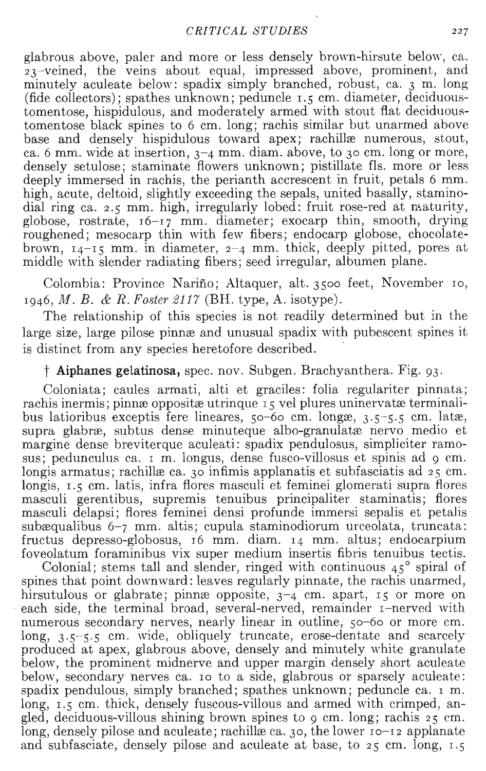glabrous above, paler and more or less densely brown-hirsute below, ca.  $23$ -veined, the veins about equal, impressed above, prominent, and minutely aculeate below: spadix simply branched, robust, ca. 3 m. long (fide collectors); spathes unknown; peduncle I.S cm. diameter, deciduoustomentose, hispidulous, and moderately armed with stout flat deciduoustomentose black spines to 6 cm. long; rachis similar but unarmed above base and densely hispidulous toward apex; rachillæ numerous, stout, ca. 6 mm. wide at insertion,  $3-4$  mm. diam. above, to  $30$  cm. long or more, densely setulose; staminate flowers unknown; pistillate fls. more or less deeply immersed in rachis, the perianth accrescent in fruit, petals 6 mm. high, acute, deltoid, slightly exceeding the sepals, united basally, staminodial ring ca. 2.5 mm. high, irregularly lobed: fruit rose-red at naturity, globose, rostrate, 16-17 mm. diameter; exocarp thin, smooth, drying roughened; mesocarp thin with few fibers; endocarp globose, chocolatebrown,  $14-15$  mm. in diameter,  $2-4$  mm. thick, deeply pitted, pores at middle with slender radiating fibers; seed irregular, albumen plane.

Colombia: Province Nariño; Altaquer, alt. 3500 feet, November 10, *1946, Jl1. B.* & *R. Foster* 2117 (BH. type, A. isotype).

The relationship of this species is not readily determined but in the large size, large pilose pinne and unusual spadix with pubescent spines it is distinct from any species heretofore described. .

## t **Aiphanes** gelatinosa, spec. nov. Subgen. Brachyanthera. Fig. 93.

Coloniata; caules armati, alti et graciles: folia regulariter pinnata; rachis inermis; pinnæ oppositæ utrinque 15 vel plures uninervatæ terminalibus latioribus exceptis fere lineares,  $50-60$  cm. longxe,  $3.5-5.5$  cm. latxe, supra glabræ, subtus dense minuteque albo-granulatæ nervo medio et margine dense breviterque aculeati: spadix pendulosus, simpliciter ramosus; pedunculus ca. I m. longus, dense fusco-villosus et spinis ad 9 cm. longis armatus; rachillæ ca.  $30$  infimis applanatis et subfasciatis ad  $25 \text{ cm}$ . longis,  $1.5$  cm. latis, infra flores masculi et feminei glomerati supra flores masculi gerentibus, supremis tenuibus principaliter staminatis; flores masculi delapsi; flores feminei densi profunde immersi sepalis et petalis subæqualibus 6-7 mm. altis; cupula staminodiorum urceolata, truncata: fructus depresso-globosus, 16 mm. diam. 14 mm. altus; endocarpium foveolatum foraminibus vix super medium insertis fibris tenuibus tectis.

Colonial; stems tall and slender, ringed with continuous  $45^{\circ}$  spiral of spines that point downward: leaves regularly pinnate, the rachis unarmed, hirsutulous or glabrate; pinnæ opposite,  $3-4$  cm. apart,  $15$  or more on each side, the terminal broad, several-nerved, remainder I-nerved with numerous secondary nerves, nearly linear in outline, so-6o or more cm. long, 3.5-5.5 cm. wide, obliquely truncate, erose-dentate and scarcely produced at apex, glabrous above, densely and minutely white granulate below, the prominent midnerve and upper margin densely short aculeate below, secondary nerves ca. 10 to a side, glabrous or sparsely aculeate: spadix pendulous, simply branched; spathes unknown; peduncle ca. I m. long,  $\overline{1.5}$  cm. thick, densely fuscous-villous and armed with crimped, angled, deciduous-villous shining brown spines to 9 cm. long; rachis 25 cm. long, densely pilose and aculeate; rachillæ ca. 30, the lower 10-12 applanate and subfasciate, densely pilose and aculeate at base, to 25 cm. long, 1.5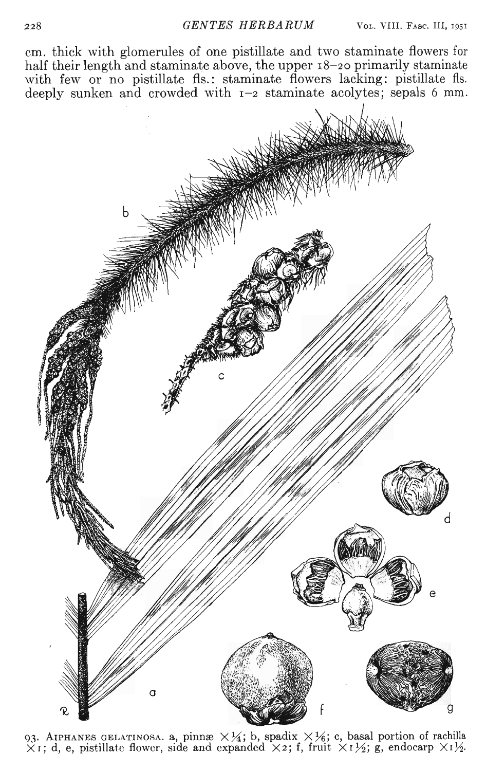em. thick with glomerules of one pistillate and two staminate flowers for half their length and staminate above, the upper 18-20 primarily staminate with few or no pistillate fls.: staminate flowers lacking: pistillate fls. deeply sunken and crowded with  $r - 2$  staminate acolytes; sepals 6 mm.



93. AIPHANES GELATINOSA. a, pinnæ  $\times\frac{1}{4}$ ; b, spadix  $\times\frac{1}{6}$ ; c, basal portion of rachilla<br> $\times$ 1; d, e, pistillate flower, side and expanded  $\times$ 2; f, fruit  $\times$ 1½; g, endocarp  $\times$ 1½